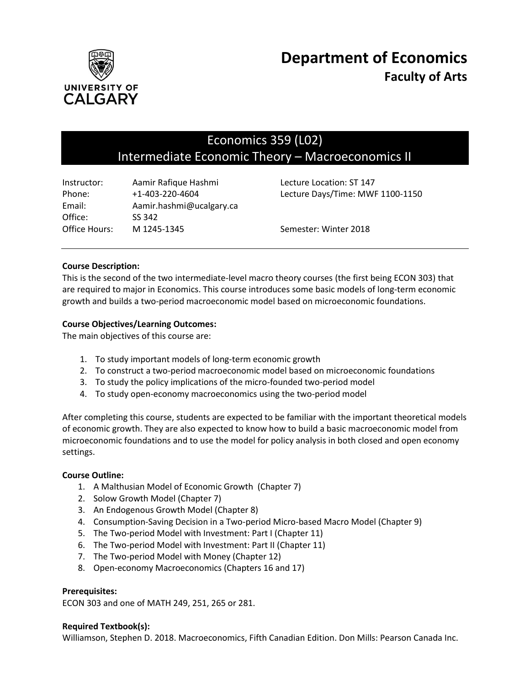

# Economics 359 (L02) Intermediate Economic Theory – Macroeconomics II

| Instructor:   | Aamir Rafique Hashmi     | Lecture Location: ST 147         |
|---------------|--------------------------|----------------------------------|
| Phone:        | $+1 - 403 - 220 - 4604$  | Lecture Days/Time: MWF 1100-1150 |
| Email:        | Aamir.hashmi@ucalgary.ca |                                  |
| Office:       | SS 342                   |                                  |
| Office Hours: | M 1245-1345              | Semester: Winter 2018            |

# **Course Description:**

This is the second of the two intermediate-level macro theory courses (the first being ECON 303) that are required to major in Economics. This course introduces some basic models of long-term economic growth and builds a two-period macroeconomic model based on microeconomic foundations.

# **Course Objectives/Learning Outcomes:**

The main objectives of this course are:

- 1. To study important models of long-term economic growth
- 2. To construct a two-period macroeconomic model based on microeconomic foundations
- 3. To study the policy implications of the micro-founded two-period model
- 4. To study open-economy macroeconomics using the two-period model

After completing this course, students are expected to be familiar with the important theoretical models of economic growth. They are also expected to know how to build a basic macroeconomic model from microeconomic foundations and to use the model for policy analysis in both closed and open economy settings.

#### **Course Outline:**

- 1. A Malthusian Model of Economic Growth (Chapter 7)
- 2. Solow Growth Model (Chapter 7)
- 3. An Endogenous Growth Model (Chapter 8)
- 4. Consumption-Saving Decision in a Two-period Micro-based Macro Model (Chapter 9)
- 5. The Two-period Model with Investment: Part I (Chapter 11)
- 6. The Two-period Model with Investment: Part II (Chapter 11)
- 7. The Two-period Model with Money (Chapter 12)
- 8. Open-economy Macroeconomics (Chapters 16 and 17)

#### **Prerequisites:**

ECON 303 and one of MATH 249, 251, 265 or 281.

#### **Required Textbook(s):**

Williamson, Stephen D. 2018. Macroeconomics, Fifth Canadian Edition. Don Mills: Pearson Canada Inc.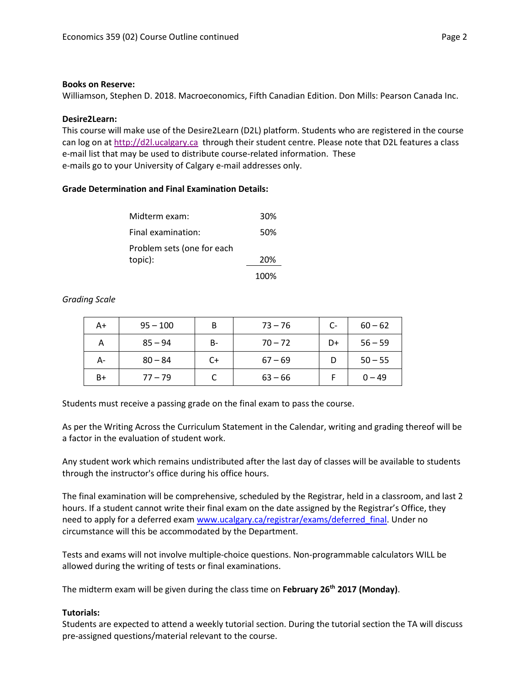#### **Books on Reserve:**

Williamson, Stephen D. 2018. Macroeconomics, Fifth Canadian Edition. Don Mills: Pearson Canada Inc.

#### **Desire2Learn:**

This course will make use of the Desire2Learn (D2L) platform. Students who are registered in the course can log on a[t http://d2l.ucalgary.ca](http://d2l.ucalgary.ca/) through their student centre. Please note that D2L features a class e-mail list that may be used to distribute course-related information. These e-mails go to your University of Calgary e-mail addresses only.

# **Grade Determination and Final Examination Details:**

| Midterm exam:              | 30%  |
|----------------------------|------|
| Final examination:         | 50%  |
| Problem sets (one for each |      |
| topic):                    | 20%  |
|                            | 100% |

#### *Grading Scale*

| A+   | $95 - 100$ | B  | $73 - 76$ | $C-$ | $60 - 62$ |
|------|------------|----|-----------|------|-----------|
| А    | $85 - 94$  | B- | $70 - 72$ | D+   | $56 - 59$ |
| А-   | $80 - 84$  | C+ | $67 - 69$ |      | $50 - 55$ |
| $B+$ | $77 - 79$  |    | $63 - 66$ |      | $0 - 49$  |

Students must receive a passing grade on the final exam to pass the course.

As per the Writing Across the Curriculum Statement in the Calendar, writing and grading thereof will be a factor in the evaluation of student work.

Any student work which remains undistributed after the last day of classes will be available to students through the instructor's office during his office hours.

The final examination will be comprehensive, scheduled by the Registrar, held in a classroom, and last 2 hours. If a student cannot write their final exam on the date assigned by the Registrar's Office, they need to apply for a deferred exam [www.ucalgary.ca/registrar/exams/deferred\\_final.](http://www.ucalgary.ca/registrar/exams/deferred_final) Under no circumstance will this be accommodated by the Department.

Tests and exams will not involve multiple-choice questions. Non-programmable calculators WILL be allowed during the writing of tests or final examinations.

The midterm exam will be given during the class time on **February 26 th 2017 (Monday)**.

#### **Tutorials:**

Students are expected to attend a weekly tutorial section. During the tutorial section the TA will discuss pre-assigned questions/material relevant to the course.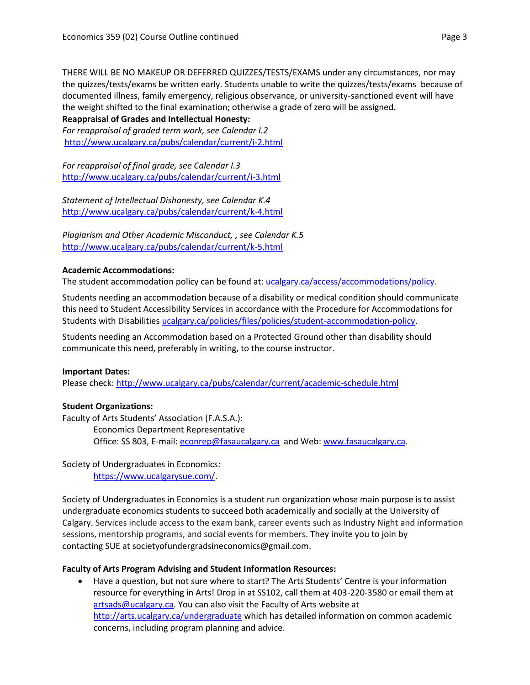THERE WILL BE NO MAKEUP OR DEFERRED QUIZZES/TESTS/EXAMS under any circumstances, nor may the quizzes/tests/exams be written early. Students unable to write the quizzes/tests/exams because of documented illness, family emergency, religious observance, or university-sanctioned event will have the weight shifted to the final examination; otherwise a grade of zero will be assigned.

# **Reappraisal of Grades and Intellectual Honesty:**

*For reappraisal of graded term work, see Calendar I.2* <http://www.ucalgary.ca/pubs/calendar/current/i-2.html>

*For reappraisal of final grade, see Calendar I.3* <http://www.ucalgary.ca/pubs/calendar/current/i-3.html>

*Statement of Intellectual Dishonesty, see Calendar K.4* <http://www.ucalgary.ca/pubs/calendar/current/k-4.html>

*Plagiarism and Other Academic Misconduct, , see Calendar K.5* <http://www.ucalgary.ca/pubs/calendar/current/k-5.html>

# **Academic Accommodations:**

The student accommodation policy can be found at: [ucalgary.ca/access/accommodations/policy.](http://www.ucalgary.ca/access/accommodations/policy)

Students needing an accommodation because of a disability or medical condition should communicate this need to Student Accessibility Services in accordance with the Procedure for Accommodations for Students with Disabilities [ucalgary.ca/policies/files/policies/student-accommodation-policy.](http://www.ucalgary.ca/policies/files/policies/student-accommodation-policy.pdf)

Students needing an Accommodation based on a Protected Ground other than disability should communicate this need, preferably in writing, to the course instructor.

#### **Important Dates:**

Please check:<http://www.ucalgary.ca/pubs/calendar/current/academic-schedule.html>

# **Student Organizations:**

Faculty of Arts Students' Association (F.A.S.A.): Economics Department Representative Office: SS 803, E-mail: [econrep@fasaucalgary.ca](mailto:econrep@fasaucalgary.ca) and Web[: www.fasaucalgary.ca.](http://www.fasaucalgary.ca/)

Society of Undergraduates in Economics: [https://www.ucalgarysue.com/.](https://www.ucalgarysue.com/)

Society of Undergraduates in Economics is a student run organization whose main purpose is to assist undergraduate economics students to succeed both academically and socially at the University of Calgary. Services include access to the exam bank, career events such as Industry Night and information sessions, mentorship programs, and social events for members. They invite you to join by contacting SUE at societyofundergradsineconomics@gmail.com.

#### **Faculty of Arts Program Advising and Student Information Resources:**

 Have a question, but not sure where to start? The Arts Students' Centre is your information resource for everything in Arts! Drop in at SS102, call them at 403-220-3580 or email them at [artsads@ucalgary.ca.](mailto:artsads@ucalgary.ca) You can also visit the Faculty of Arts website at <http://arts.ucalgary.ca/undergraduate> which has detailed information on common academic concerns, including program planning and advice.